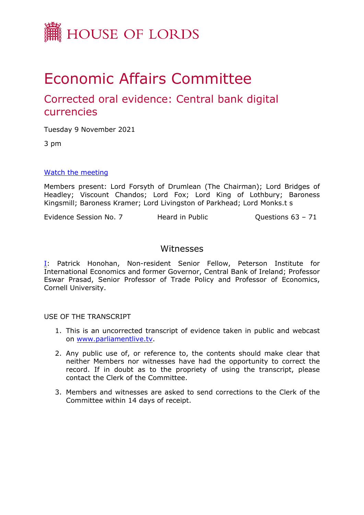

# Economic Affairs Committee

# Corrected oral evidence: Central bank digital currencies

Tuesday 9 November 2021

3 pm

#### [Watch](https://www.parliamentlive.tv/Event/Index/b263c8f1-3222-4c5f-abff-ffaff63c37c2) [the](https://www.parliamentlive.tv/Event/Index/b263c8f1-3222-4c5f-abff-ffaff63c37c2) [meeting](https://www.parliamentlive.tv/Event/Index/b263c8f1-3222-4c5f-abff-ffaff63c37c2)

Members present: Lord Forsyth of Drumlean (The Chairman); Lord Bridges of Headley; Viscount Chandos; Lord Fox; Lord King of Lothbury; Baroness Kingsmill; Baroness Kramer; Lord Livingston of Parkhead; Lord Monks.t s

Evidence Session No. 7 Heard in Public Cuestions 63 - 71

## Witnesses

[I:](#page-1-0) Patrick Honohan, Non-resident Senior Fellow, Peterson Institute for International Economics and former Governor, Central Bank of Ireland; Professor Eswar Prasad, Senior Professor of Trade Policy and Professor of Economics, Cornell University.

USE OF THE TRANSCRIPT

- 1. This is an uncorrected transcript of evidence taken in public and webcast on [www.parliamentlive.tv.](http://www.parliamentlive.tv/)
- 2. Any public use of, or reference to, the contents should make clear that neither Members nor witnesses have had the opportunity to correct the record. If in doubt as to the propriety of using the transcript, please contact the Clerk of the Committee.
- 3. Members and witnesses are asked to send corrections to the Clerk of the Committee within 14 days of receipt.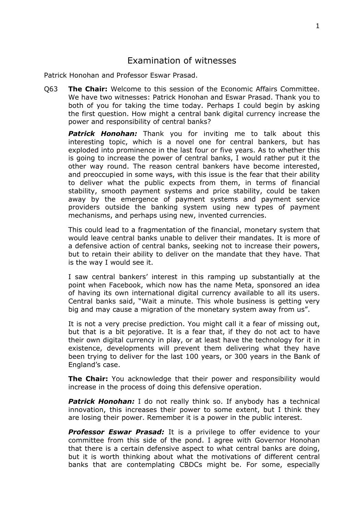### <span id="page-1-0"></span>Examination of witnesses

Patrick Honohan and Professor Eswar Prasad.

Q63 **The Chair:** Welcome to this session of the Economic Affairs Committee. We have two witnesses: Patrick Honohan and Eswar Prasad. Thank you to both of you for taking the time today. Perhaps I could begin by asking the first question. How might a central bank digital currency increase the power and responsibility of central banks?

*Patrick Honohan:* Thank you for inviting me to talk about this interesting topic, which is a novel one for central bankers, but has exploded into prominence in the last four or five years. As to whether this is going to increase the power of central banks, I would rather put it the other way round. The reason central bankers have become interested, and preoccupied in some ways, with this issue is the fear that their ability to deliver what the public expects from them, in terms of financial stability, smooth payment systems and price stability, could be taken away by the emergence of payment systems and payment service providers outside the banking system using new types of payment mechanisms, and perhaps using new, invented currencies.

This could lead to a fragmentation of the financial, monetary system that would leave central banks unable to deliver their mandates. It is more of a defensive action of central banks, seeking not to increase their powers, but to retain their ability to deliver on the mandate that they have. That is the way I would see it.

I saw central bankers' interest in this ramping up substantially at the point when Facebook, which now has the name Meta, sponsored an idea of having its own international digital currency available to all its users. Central banks said, "Wait a minute. This whole business is getting very big and may cause a migration of the monetary system away from us".

It is not a very precise prediction. You might call it a fear of missing out, but that is a bit pejorative. It is a fear that, if they do not act to have their own digital currency in play, or at least have the technology for it in existence, developments will prevent them delivering what they have been trying to deliver for the last 100 years, or 300 years in the Bank of England's case.

**The Chair:** You acknowledge that their power and responsibility would increase in the process of doing this defensive operation.

**Patrick Honohan:** I do not really think so. If anybody has a technical innovation, this increases their power to some extent, but I think they are losing their power. Remember it is a power in the public interest.

*Professor Eswar Prasad:* It is a privilege to offer evidence to your committee from this side of the pond. I agree with Governor Honohan that there is a certain defensive aspect to what central banks are doing, but it is worth thinking about what the motivations of different central banks that are contemplating CBDCs might be. For some, especially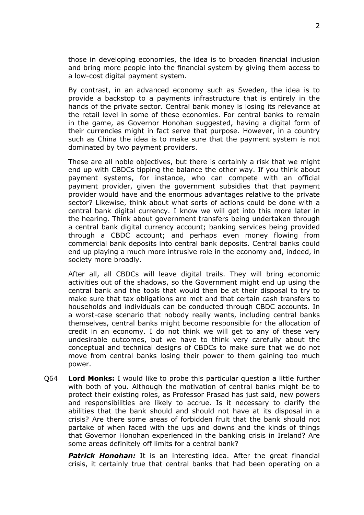those in developing economies, the idea is to broaden financial inclusion and bring more people into the financial system by giving them access to a low-cost digital payment system.

By contrast, in an advanced economy such as Sweden, the idea is to provide a backstop to a payments infrastructure that is entirely in the hands of the private sector. Central bank money is losing its relevance at the retail level in some of these economies. For central banks to remain in the game, as Governor Honohan suggested, having a digital form of their currencies might in fact serve that purpose. However, in a country such as China the idea is to make sure that the payment system is not dominated by two payment providers.

These are all noble objectives, but there is certainly a risk that we might end up with CBDCs tipping the balance the other way. If you think about payment systems, for instance, who can compete with an official payment provider, given the government subsidies that that payment provider would have and the enormous advantages relative to the private sector? Likewise, think about what sorts of actions could be done with a central bank digital currency. I know we will get into this more later in the hearing. Think about government transfers being undertaken through a central bank digital currency account; banking services being provided through a CBDC account; and perhaps even money flowing from commercial bank deposits into central bank deposits. Central banks could end up playing a much more intrusive role in the economy and, indeed, in society more broadly.

After all, all CBDCs will leave digital trails. They will bring economic activities out of the shadows, so the Government might end up using the central bank and the tools that would then be at their disposal to try to make sure that tax obligations are met and that certain cash transfers to households and individuals can be conducted through CBDC accounts. In a worst-case scenario that nobody really wants, including central banks themselves, central banks might become responsible for the allocation of credit in an economy. I do not think we will get to any of these very undesirable outcomes, but we have to think very carefully about the conceptual and technical designs of CBDCs to make sure that we do not move from central banks losing their power to them gaining too much power.

Q64 **Lord Monks:** I would like to probe this particular question a little further with both of you. Although the motivation of central banks might be to protect their existing roles, as Professor Prasad has just said, new powers and responsibilities are likely to accrue. Is it necessary to clarify the abilities that the bank should and should not have at its disposal in a crisis? Are there some areas of forbidden fruit that the bank should not partake of when faced with the ups and downs and the kinds of things that Governor Honohan experienced in the banking crisis in Ireland? Are some areas definitely off limits for a central bank?

**Patrick Honohan:** It is an interesting idea. After the great financial crisis, it certainly true that central banks that had been operating on a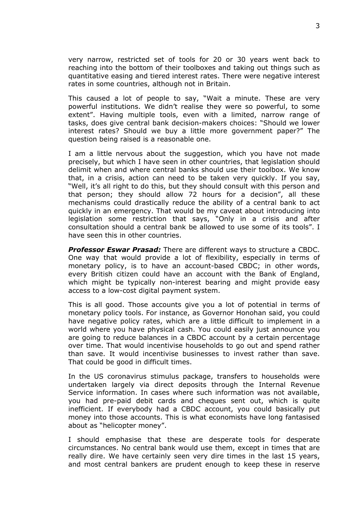very narrow, restricted set of tools for 20 or 30 years went back to reaching into the bottom of their toolboxes and taking out things such as quantitative easing and tiered interest rates. There were negative interest rates in some countries, although not in Britain.

This caused a lot of people to say, "Wait a minute. These are very powerful institutions. We didn't realise they were so powerful, to some extent". Having multiple tools, even with a limited, narrow range of tasks, does give central bank decision-makers choices: "Should we lower interest rates? Should we buy a little more government paper?" The question being raised is a reasonable one.

I am a little nervous about the suggestion, which you have not made precisely, but which I have seen in other countries, that legislation should delimit when and where central banks should use their toolbox. We know that, in a crisis, action can need to be taken very quickly. If you say, "Well, it's all right to do this, but they should consult with this person and that person; they should allow 72 hours for a decision", all these mechanisms could drastically reduce the ability of a central bank to act quickly in an emergency. That would be my caveat about introducing into legislation some restriction that says, "Only in a crisis and after consultation should a central bank be allowed to use some of its tools". I have seen this in other countries.

*Professor Eswar Prasad:* There are different ways to structure a CBDC. One way that would provide a lot of flexibility, especially in terms of monetary policy, is to have an account-based CBDC; in other words, every British citizen could have an account with the Bank of England, which might be typically non-interest bearing and might provide easy access to a low-cost digital payment system.

This is all good. Those accounts give you a lot of potential in terms of monetary policy tools. For instance, as Governor Honohan said, you could have negative policy rates, which are a little difficult to implement in a world where you have physical cash. You could easily just announce you are going to reduce balances in a CBDC account by a certain percentage over time. That would incentivise households to go out and spend rather than save. It would incentivise businesses to invest rather than save. That could be good in difficult times.

In the US coronavirus stimulus package, transfers to households were undertaken largely via direct deposits through the Internal Revenue Service information. In cases where such information was not available, you had pre-paid debit cards and cheques sent out, which is quite inefficient. If everybody had a CBDC account, you could basically put money into those accounts. This is what economists have long fantasised about as "helicopter money".

I should emphasise that these are desperate tools for desperate circumstances. No central bank would use them, except in times that are really dire. We have certainly seen very dire times in the last 15 years, and most central bankers are prudent enough to keep these in reserve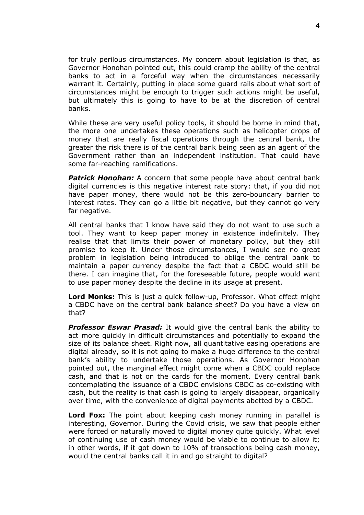for truly perilous circumstances. My concern about legislation is that, as Governor Honohan pointed out, this could cramp the ability of the central banks to act in a forceful way when the circumstances necessarily warrant it. Certainly, putting in place some guard rails about what sort of circumstances might be enough to trigger such actions might be useful, but ultimately this is going to have to be at the discretion of central banks.

While these are very useful policy tools, it should be borne in mind that, the more one undertakes these operations such as helicopter drops of money that are really fiscal operations through the central bank, the greater the risk there is of the central bank being seen as an agent of the Government rather than an independent institution. That could have some far-reaching ramifications.

**Patrick Honohan:** A concern that some people have about central bank digital currencies is this negative interest rate story: that, if you did not have paper money, there would not be this zero-boundary barrier to interest rates. They can go a little bit negative, but they cannot go very far negative.

All central banks that I know have said they do not want to use such a tool. They want to keep paper money in existence indefinitely. They realise that that limits their power of monetary policy, but they still promise to keep it. Under those circumstances, I would see no great problem in legislation being introduced to oblige the central bank to maintain a paper currency despite the fact that a CBDC would still be there. I can imagine that, for the foreseeable future, people would want to use paper money despite the decline in its usage at present.

**Lord Monks:** This is just a quick follow-up, Professor. What effect might a CBDC have on the central bank balance sheet? Do you have a view on that?

*Professor Eswar Prasad:* It would give the central bank the ability to act more quickly in difficult circumstances and potentially to expand the size of its balance sheet. Right now, all quantitative easing operations are digital already, so it is not going to make a huge difference to the central bank's ability to undertake those operations. As Governor Honohan pointed out, the marginal effect might come when a CBDC could replace cash, and that is not on the cards for the moment. Every central bank contemplating the issuance of a CBDC envisions CBDC as co-existing with cash, but the reality is that cash is going to largely disappear, organically over time, with the convenience of digital payments abetted by a CBDC.

**Lord Fox:** The point about keeping cash money running in parallel is interesting, Governor. During the Covid crisis, we saw that people either were forced or naturally moved to digital money quite quickly. What level of continuing use of cash money would be viable to continue to allow it; in other words, if it got down to 10% of transactions being cash money, would the central banks call it in and go straight to digital?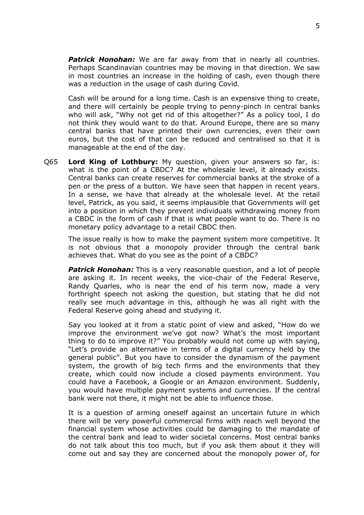*Patrick Honohan:* We are far away from that in nearly all countries. Perhaps Scandinavian countries may be moving in that direction. We saw in most countries an increase in the holding of cash, even though there was a reduction in the usage of cash during Covid.

Cash will be around for a long time. Cash is an expensive thing to create, and there will certainly be people trying to penny-pinch in central banks who will ask, "Why not get rid of this altogether?" As a policy tool, I do not think they would want to do that. Around Europe, there are so many central banks that have printed their own currencies, even their own euros, but the cost of that can be reduced and centralised so that it is manageable at the end of the day.

Q65 **Lord King of Lothbury:** My question, given your answers so far, is: what is the point of a CBDC? At the wholesale level, it already exists. Central banks can create reserves for commercial banks at the stroke of a pen or the press of a button. We have seen that happen in recent years. In a sense, we have that already at the wholesale level. At the retail level, Patrick, as you said, it seems implausible that Governments will get into a position in which they prevent individuals withdrawing money from a CBDC in the form of cash if that is what people want to do. There is no monetary policy advantage to a retail CBDC then.

The issue really is how to make the payment system more competitive. It is not obvious that a monopoly provider through the central bank achieves that. What do you see as the point of a CBDC?

**Patrick Honohan:** This is a very reasonable question, and a lot of people are asking it. In recent weeks, the vice-chair of the Federal Reserve, Randy Quarles, who is near the end of his term now, made a very forthright speech not asking the question, but stating that he did not really see much advantage in this, although he was all right with the Federal Reserve going ahead and studying it.

Say you looked at it from a static point of view and asked, "How do we improve the environment we've got now? What's the most important thing to do to improve it?" You probably would not come up with saying, "Let's provide an alternative in terms of a digital currency held by the general public". But you have to consider the dynamism of the payment system, the growth of big tech firms and the environments that they create, which could now include a closed payments environment. You could have a Facebook, a Google or an Amazon environment. Suddenly, you would have multiple payment systems and currencies. If the central bank were not there, it might not be able to influence those.

It is a question of arming oneself against an uncertain future in which there will be very powerful commercial firms with reach well beyond the financial system whose activities could be damaging to the mandate of the central bank and lead to wider societal concerns. Most central banks do not talk about this too much, but if you ask them about it they will come out and say they are concerned about the monopoly power of, for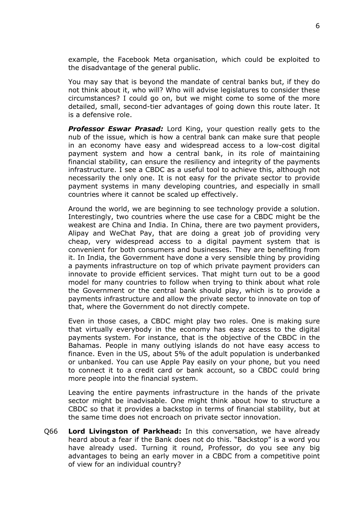example, the Facebook Meta organisation, which could be exploited to the disadvantage of the general public.

You may say that is beyond the mandate of central banks but, if they do not think about it, who will? Who will advise legislatures to consider these circumstances? I could go on, but we might come to some of the more detailed, small, second-tier advantages of going down this route later. It is a defensive role.

*Professor Eswar Prasad:* Lord King, your question really gets to the nub of the issue, which is how a central bank can make sure that people in an economy have easy and widespread access to a low-cost digital payment system and how a central bank, in its role of maintaining financial stability, can ensure the resiliency and integrity of the payments infrastructure. I see a CBDC as a useful tool to achieve this, although not necessarily the only one. It is not easy for the private sector to provide payment systems in many developing countries, and especially in small countries where it cannot be scaled up effectively.

Around the world, we are beginning to see technology provide a solution. Interestingly, two countries where the use case for a CBDC might be the weakest are China and India. In China, there are two payment providers, Alipay and WeChat Pay, that are doing a great job of providing very cheap, very widespread access to a digital payment system that is convenient for both consumers and businesses. They are benefiting from it. In India, the Government have done a very sensible thing by providing a payments infrastructure on top of which private payment providers can innovate to provide efficient services. That might turn out to be a good model for many countries to follow when trying to think about what role the Government or the central bank should play, which is to provide a payments infrastructure and allow the private sector to innovate on top of that, where the Government do not directly compete.

Even in those cases, a CBDC might play two roles. One is making sure that virtually everybody in the economy has easy access to the digital payments system. For instance, that is the objective of the CBDC in the Bahamas. People in many outlying islands do not have easy access to finance. Even in the US, about 5% of the adult population is underbanked or unbanked. You can use Apple Pay easily on your phone, but you need to connect it to a credit card or bank account, so a CBDC could bring more people into the financial system.

Leaving the entire payments infrastructure in the hands of the private sector might be inadvisable. One might think about how to structure a CBDC so that it provides a backstop in terms of financial stability, but at the same time does not encroach on private sector innovation.

Q66 **Lord Livingston of Parkhead:** In this conversation, we have already heard about a fear if the Bank does not do this. "Backstop" is a word you have already used. Turning it round, Professor, do you see any big advantages to being an early mover in a CBDC from a competitive point of view for an individual country?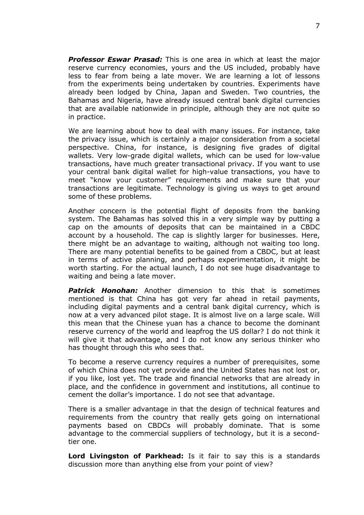*Professor Eswar Prasad:* This is one area in which at least the major reserve currency economies, yours and the US included, probably have less to fear from being a late mover. We are learning a lot of lessons from the experiments being undertaken by countries. Experiments have already been lodged by China, Japan and Sweden. Two countries, the Bahamas and Nigeria, have already issued central bank digital currencies that are available nationwide in principle, although they are not quite so in practice.

We are learning about how to deal with many issues. For instance, take the privacy issue, which is certainly a major consideration from a societal perspective. China, for instance, is designing five grades of digital wallets. Very low-grade digital wallets, which can be used for low-value transactions, have much greater transactional privacy. If you want to use your central bank digital wallet for high-value transactions, you have to meet "know your customer" requirements and make sure that your transactions are legitimate. Technology is giving us ways to get around some of these problems.

Another concern is the potential flight of deposits from the banking system. The Bahamas has solved this in a very simple way by putting a cap on the amounts of deposits that can be maintained in a CBDC account by a household. The cap is slightly larger for businesses. Here, there might be an advantage to waiting, although not waiting too long. There are many potential benefits to be gained from a CBDC, but at least in terms of active planning, and perhaps experimentation, it might be worth starting. For the actual launch, I do not see huge disadvantage to waiting and being a late mover.

*Patrick Honohan:* Another dimension to this that is sometimes mentioned is that China has got very far ahead in retail payments, including digital payments and a central bank digital currency, which is now at a very advanced pilot stage. It is almost live on a large scale. Will this mean that the Chinese yuan has a chance to become the dominant reserve currency of the world and leapfrog the US dollar? I do not think it will give it that advantage, and I do not know any serious thinker who has thought through this who sees that.

To become a reserve currency requires a number of prerequisites, some of which China does not yet provide and the United States has not lost or, if you like, lost yet. The trade and financial networks that are already in place, and the confidence in government and institutions, all continue to cement the dollar's importance. I do not see that advantage.

There is a smaller advantage in that the design of technical features and requirements from the country that really gets going on international payments based on CBDCs will probably dominate. That is some advantage to the commercial suppliers of technology, but it is a secondtier one.

**Lord Livingston of Parkhead:** Is it fair to say this is a standards discussion more than anything else from your point of view?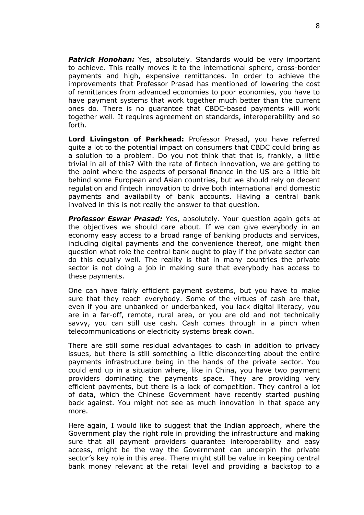*Patrick Honohan:* Yes, absolutely. Standards would be very important to achieve. This really moves it to the international sphere, cross-border payments and high, expensive remittances. In order to achieve the improvements that Professor Prasad has mentioned of lowering the cost of remittances from advanced economies to poor economies, you have to have payment systems that work together much better than the current ones do. There is no guarantee that CBDC-based payments will work together well. It requires agreement on standards, interoperability and so forth.

**Lord Livingston of Parkhead:** Professor Prasad, you have referred quite a lot to the potential impact on consumers that CBDC could bring as a solution to a problem. Do you not think that that is, frankly, a little trivial in all of this? With the rate of fintech innovation, we are getting to the point where the aspects of personal finance in the US are a little bit behind some European and Asian countries, but we should rely on decent regulation and fintech innovation to drive both international and domestic payments and availability of bank accounts. Having a central bank involved in this is not really the answer to that question.

*Professor Eswar Prasad:* Yes, absolutely. Your question again gets at the objectives we should care about. If we can give everybody in an economy easy access to a broad range of banking products and services, including digital payments and the convenience thereof, one might then question what role the central bank ought to play if the private sector can do this equally well. The reality is that in many countries the private sector is not doing a job in making sure that everybody has access to these payments.

One can have fairly efficient payment systems, but you have to make sure that they reach everybody. Some of the virtues of cash are that, even if you are unbanked or underbanked, you lack digital literacy, you are in a far-off, remote, rural area, or you are old and not technically savvy, you can still use cash. Cash comes through in a pinch when telecommunications or electricity systems break down.

There are still some residual advantages to cash in addition to privacy issues, but there is still something a little disconcerting about the entire payments infrastructure being in the hands of the private sector. You could end up in a situation where, like in China, you have two payment providers dominating the payments space. They are providing very efficient payments, but there is a lack of competition. They control a lot of data, which the Chinese Government have recently started pushing back against. You might not see as much innovation in that space any more.

Here again, I would like to suggest that the Indian approach, where the Government play the right role in providing the infrastructure and making sure that all payment providers guarantee interoperability and easy access, might be the way the Government can underpin the private sector's key role in this area. There might still be value in keeping central bank money relevant at the retail level and providing a backstop to a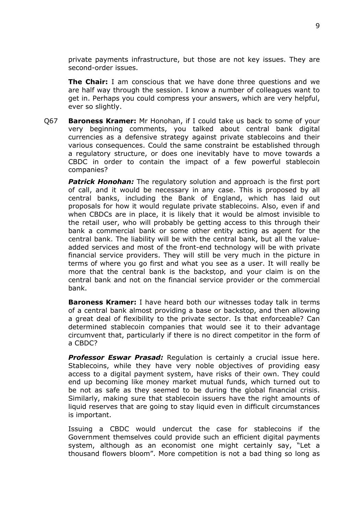private payments infrastructure, but those are not key issues. They are second-order issues.

**The Chair:** I am conscious that we have done three questions and we are half way through the session. I know a number of colleagues want to get in. Perhaps you could compress your answers, which are very helpful, ever so slightly.

Q67 **Baroness Kramer:** Mr Honohan, if I could take us back to some of your very beginning comments, you talked about central bank digital currencies as a defensive strategy against private stablecoins and their various consequences. Could the same constraint be established through a regulatory structure, or does one inevitably have to move towards a CBDC in order to contain the impact of a few powerful stablecoin companies?

*Patrick Honohan:* The regulatory solution and approach is the first port of call, and it would be necessary in any case. This is proposed by all central banks, including the Bank of England, which has laid out proposals for how it would regulate private stablecoins. Also, even if and when CBDCs are in place, it is likely that it would be almost invisible to the retail user, who will probably be getting access to this through their bank a commercial bank or some other entity acting as agent for the central bank. The liability will be with the central bank, but all the valueadded services and most of the front-end technology will be with private financial service providers. They will still be very much in the picture in terms of where you go first and what you see as a user. It will really be more that the central bank is the backstop, and your claim is on the central bank and not on the financial service provider or the commercial bank.

**Baroness Kramer:** I have heard both our witnesses today talk in terms of a central bank almost providing a base or backstop, and then allowing a great deal of flexibility to the private sector. Is that enforceable? Can determined stablecoin companies that would see it to their advantage circumvent that, particularly if there is no direct competitor in the form of a CBDC?

*Professor Eswar Prasad:* Regulation is certainly a crucial issue here. Stablecoins, while they have very noble objectives of providing easy access to a digital payment system, have risks of their own. They could end up becoming like money market mutual funds, which turned out to be not as safe as they seemed to be during the global financial crisis. Similarly, making sure that stablecoin issuers have the right amounts of liquid reserves that are going to stay liquid even in difficult circumstances is important.

Issuing a CBDC would undercut the case for stablecoins if the Government themselves could provide such an efficient digital payments system, although as an economist one might certainly say, "Let a thousand flowers bloom". More competition is not a bad thing so long as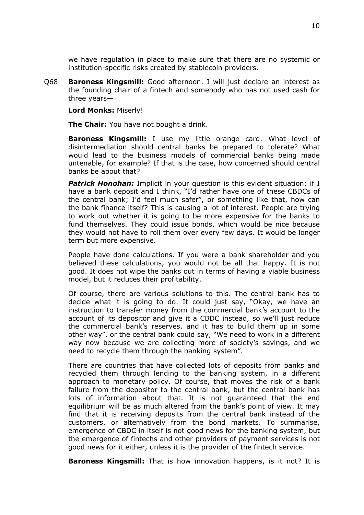we have regulation in place to make sure that there are no systemic or institution-specific risks created by stablecoin providers.

Q68 **Baroness Kingsmill:** Good afternoon. I will just declare an interest as the founding chair of a fintech and somebody who has not used cash for three years—

**Lord Monks:** Miserly!

**The Chair:** You have not bought a drink.

**Baroness Kingsmill:** I use my little orange card. What level of disintermediation should central banks be prepared to tolerate? What would lead to the business models of commercial banks being made untenable, for example? If that is the case, how concerned should central banks be about that?

*Patrick Honohan:* Implicit in your question is this evident situation: if I have a bank deposit and I think, "I'd rather have one of these CBDCs of the central bank; I'd feel much safer", or something like that, how can the bank finance itself? This is causing a lot of interest. People are trying to work out whether it is going to be more expensive for the banks to fund themselves. They could issue bonds, which would be nice because they would not have to roll them over every few days. It would be longer term but more expensive.

People have done calculations. If you were a bank shareholder and you believed these calculations, you would not be all that happy. It is not good. It does not wipe the banks out in terms of having a viable business model, but it reduces their profitability.

Of course, there are various solutions to this. The central bank has to decide what it is going to do. It could just say, "Okay, we have an instruction to transfer money from the commercial bank's account to the account of its depositor and give it a CBDC instead, so we'll just reduce the commercial bank's reserves, and it has to build them up in some other way", or the central bank could say, "We need to work in a different way now because we are collecting more of society's savings, and we need to recycle them through the banking system".

There are countries that have collected lots of deposits from banks and recycled them through lending to the banking system, in a different approach to monetary policy. Of course, that moves the risk of a bank failure from the depositor to the central bank, but the central bank has lots of information about that. It is not guaranteed that the end equilibrium will be as much altered from the bank's point of view. It may find that it is receiving deposits from the central bank instead of the customers, or alternatively from the bond markets. To summarise, emergence of CBDC in itself is not good news for the banking system, but the emergence of fintechs and other providers of payment services is not good news for it either, unless it is the provider of the fintech service.

**Baroness Kingsmill:** That is how innovation happens, is it not? It is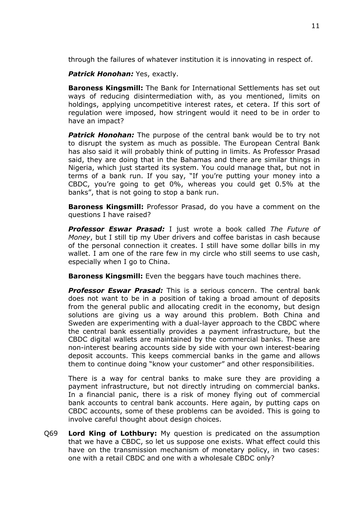through the failures of whatever institution it is innovating in respect of.

*Patrick Honohan:* Yes, exactly.

**Baroness Kingsmill:** The Bank for International Settlements has set out ways of reducing disintermediation with, as you mentioned, limits on holdings, applying uncompetitive interest rates, et cetera. If this sort of regulation were imposed, how stringent would it need to be in order to have an impact?

*Patrick Honohan:* The purpose of the central bank would be to try not to disrupt the system as much as possible. The European Central Bank has also said it will probably think of putting in limits. As Professor Prasad said, they are doing that in the Bahamas and there are similar things in Nigeria, which just started its system. You could manage that, but not in terms of a bank run. If you say, "If you're putting your money into a CBDC, you're going to get 0%, whereas you could get 0.5% at the banks", that is not going to stop a bank run.

**Baroness Kingsmill:** Professor Prasad, do you have a comment on the questions I have raised?

*Professor Eswar Prasad:* I just wrote a book called *The Future of Money*, but I still tip my Uber drivers and coffee baristas in cash because of the personal connection it creates. I still have some dollar bills in my wallet. I am one of the rare few in my circle who still seems to use cash, especially when I go to China.

**Baroness Kingsmill:** Even the beggars have touch machines there.

*Professor Eswar Prasad:* This is a serious concern. The central bank does not want to be in a position of taking a broad amount of deposits from the general public and allocating credit in the economy, but design solutions are giving us a way around this problem. Both China and Sweden are experimenting with a dual-layer approach to the CBDC where the central bank essentially provides a payment infrastructure, but the CBDC digital wallets are maintained by the commercial banks. These are non-interest bearing accounts side by side with your own interest-bearing deposit accounts. This keeps commercial banks in the game and allows them to continue doing "know your customer" and other responsibilities.

There is a way for central banks to make sure they are providing a payment infrastructure, but not directly intruding on commercial banks. In a financial panic, there is a risk of money flying out of commercial bank accounts to central bank accounts. Here again, by putting caps on CBDC accounts, some of these problems can be avoided. This is going to involve careful thought about design choices.

Q69 **Lord King of Lothbury:** My question is predicated on the assumption that we have a CBDC, so let us suppose one exists. What effect could this have on the transmission mechanism of monetary policy, in two cases: one with a retail CBDC and one with a wholesale CBDC only?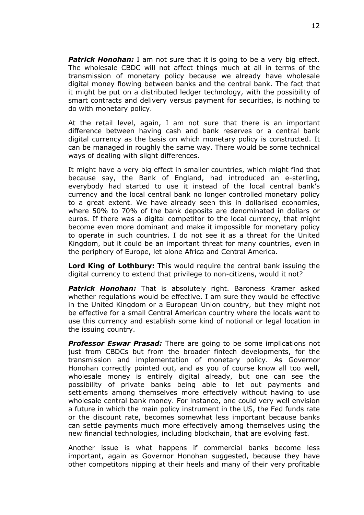*Patrick Honohan:* I am not sure that it is going to be a very big effect. The wholesale CBDC will not affect things much at all in terms of the transmission of monetary policy because we already have wholesale digital money flowing between banks and the central bank. The fact that it might be put on a distributed ledger technology, with the possibility of smart contracts and delivery versus payment for securities, is nothing to do with monetary policy.

At the retail level, again, I am not sure that there is an important difference between having cash and bank reserves or a central bank digital currency as the basis on which monetary policy is constructed. It can be managed in roughly the same way. There would be some technical ways of dealing with slight differences.

It might have a very big effect in smaller countries, which might find that because say, the Bank of England, had introduced an e-sterling, everybody had started to use it instead of the local central bank's currency and the local central bank no longer controlled monetary policy to a great extent. We have already seen this in dollarised economies, where 50% to 70% of the bank deposits are denominated in dollars or euros. If there was a digital competitor to the local currency, that might become even more dominant and make it impossible for monetary policy to operate in such countries. I do not see it as a threat for the United Kingdom, but it could be an important threat for many countries, even in the periphery of Europe, let alone Africa and Central America.

**Lord King of Lothbury:** This would require the central bank issuing the digital currency to extend that privilege to non-citizens, would it not?

*Patrick Honohan:* That is absolutely right. Baroness Kramer asked whether regulations would be effective. I am sure they would be effective in the United Kingdom or a European Union country, but they might not be effective for a small Central American country where the locals want to use this currency and establish some kind of notional or legal location in the issuing country.

*Professor Eswar Prasad:* There are going to be some implications not just from CBDCs but from the broader fintech developments, for the transmission and implementation of monetary policy. As Governor Honohan correctly pointed out, and as you of course know all too well, wholesale money is entirely digital already, but one can see the possibility of private banks being able to let out payments and settlements among themselves more effectively without having to use wholesale central bank money. For instance, one could very well envision a future in which the main policy instrument in the US, the Fed funds rate or the discount rate, becomes somewhat less important because banks can settle payments much more effectively among themselves using the new financial technologies, including blockchain, that are evolving fast.

Another issue is what happens if commercial banks become less important, again as Governor Honohan suggested, because they have other competitors nipping at their heels and many of their very profitable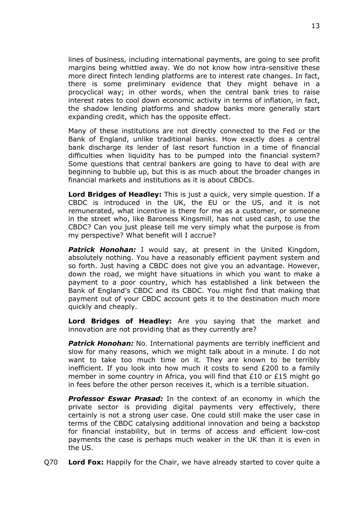lines of business, including international payments, are going to see profit margins being whittled away. We do not know how intra-sensitive these more direct fintech lending platforms are to interest rate changes. In fact, there is some preliminary evidence that they might behave in a procyclical way; in other words, when the central bank tries to raise interest rates to cool down economic activity in terms of inflation, in fact, the shadow lending platforms and shadow banks more generally start expanding credit, which has the opposite effect.

Many of these institutions are not directly connected to the Fed or the Bank of England, unlike traditional banks. How exactly does a central bank discharge its lender of last resort function in a time of financial difficulties when liquidity has to be pumped into the financial system? Some questions that central bankers are going to have to deal with are beginning to bubble up, but this is as much about the broader changes in financial markets and institutions as it is about CBDCs.

**Lord Bridges of Headley:** This is just a quick, very simple question. If a CBDC is introduced in the UK, the EU or the US, and it is not remunerated, what incentive is there for me as a customer, or someone in the street who, like Baroness Kingsmill, has not used cash, to use the CBDC? Can you just please tell me very simply what the purpose is from my perspective? What benefit will I accrue?

**Patrick Honohan:** I would say, at present in the United Kingdom, absolutely nothing. You have a reasonably efficient payment system and so forth. Just having a CBDC does not give you an advantage. However, down the road, we might have situations in which you want to make a payment to a poor country, which has established a link between the Bank of England's CBDC and its CBDC. You might find that making that payment out of your CBDC account gets it to the destination much more quickly and cheaply.

**Lord Bridges of Headley:** Are you saying that the market and innovation are not providing that as they currently are?

**Patrick Honohan:** No. International payments are terribly inefficient and slow for many reasons, which we might talk about in a minute. I do not want to take too much time on it. They are known to be terribly inefficient. If you look into how much it costs to send £200 to a family member in some country in Africa, you will find that £10 or £15 might go in fees before the other person receives it, which is a terrible situation.

*Professor Eswar Prasad:* In the context of an economy in which the private sector is providing digital payments very effectively, there certainly is not a strong user case. One could still make the user case in terms of the CBDC catalysing additional innovation and being a backstop for financial instability, but in terms of access and efficient low-cost payments the case is perhaps much weaker in the UK than it is even in the US.

Q70 **Lord Fox:** Happily for the Chair, we have already started to cover quite a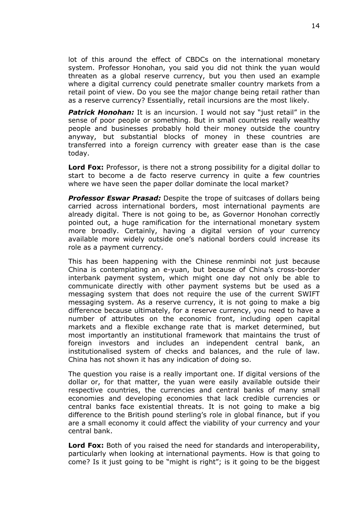lot of this around the effect of CBDCs on the international monetary system. Professor Honohan, you said you did not think the yuan would threaten as a global reserve currency, but you then used an example where a digital currency could penetrate smaller country markets from a retail point of view. Do you see the major change being retail rather than as a reserve currency? Essentially, retail incursions are the most likely.

**Patrick Honohan:** It is an incursion. I would not say "just retail" in the sense of poor people or something. But in small countries really wealthy people and businesses probably hold their money outside the country anyway, but substantial blocks of money in these countries are transferred into a foreign currency with greater ease than is the case today.

**Lord Fox:** Professor, is there not a strong possibility for a digital dollar to start to become a de facto reserve currency in quite a few countries where we have seen the paper dollar dominate the local market?

*Professor Eswar Prasad:* Despite the trope of suitcases of dollars being carried across international borders, most international payments are already digital. There is not going to be, as Governor Honohan correctly pointed out, a huge ramification for the international monetary system more broadly. Certainly, having a digital version of your currency available more widely outside one's national borders could increase its role as a payment currency.

This has been happening with the Chinese renminbi not just because China is contemplating an e-yuan, but because of China's cross-border interbank payment system, which might one day not only be able to communicate directly with other payment systems but be used as a messaging system that does not require the use of the current SWIFT messaging system. As a reserve currency, it is not going to make a big difference because ultimately, for a reserve currency, you need to have a number of attributes on the economic front, including open capital markets and a flexible exchange rate that is market determined, but most importantly an institutional framework that maintains the trust of foreign investors and includes an independent central bank, an institutionalised system of checks and balances, and the rule of law. China has not shown it has any indication of doing so.

The question you raise is a really important one. If digital versions of the dollar or, for that matter, the yuan were easily available outside their respective countries, the currencies and central banks of many small economies and developing economies that lack credible currencies or central banks face existential threats. It is not going to make a big difference to the British pound sterling's role in global finance, but if you are a small economy it could affect the viability of your currency and your central bank.

**Lord Fox:** Both of you raised the need for standards and interoperability, particularly when looking at international payments. How is that going to come? Is it just going to be "might is right"; is it going to be the biggest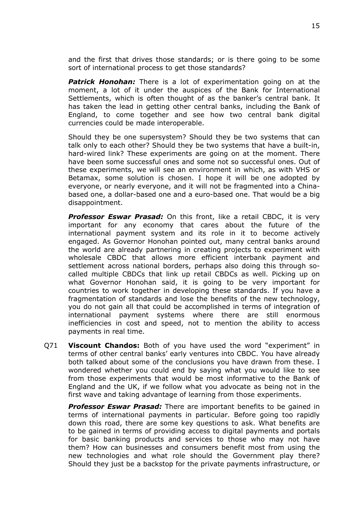and the first that drives those standards; or is there going to be some sort of international process to get those standards?

*Patrick Honohan:* There is a lot of experimentation going on at the moment, a lot of it under the auspices of the Bank for International Settlements, which is often thought of as the banker's central bank. It has taken the lead in getting other central banks, including the Bank of England, to come together and see how two central bank digital currencies could be made interoperable.

Should they be one supersystem? Should they be two systems that can talk only to each other? Should they be two systems that have a built-in, hard-wired link? These experiments are going on at the moment. There have been some successful ones and some not so successful ones. Out of these experiments, we will see an environment in which, as with VHS or Betamax, some solution is chosen. I hope it will be one adopted by everyone, or nearly everyone, and it will not be fragmented into a Chinabased one, a dollar-based one and a euro-based one. That would be a big disappointment.

*Professor Eswar Prasad:* On this front, like a retail CBDC, it is very important for any economy that cares about the future of the international payment system and its role in it to become actively engaged. As Governor Honohan pointed out, many central banks around the world are already partnering in creating projects to experiment with wholesale CBDC that allows more efficient interbank payment and settlement across national borders, perhaps also doing this through socalled multiple CBDCs that link up retail CBDCs as well. Picking up on what Governor Honohan said, it is going to be very important for countries to work together in developing these standards. If you have a fragmentation of standards and lose the benefits of the new technology, you do not gain all that could be accomplished in terms of integration of international payment systems where there are still enormous inefficiencies in cost and speed, not to mention the ability to access payments in real time.

Q71 **Viscount Chandos:** Both of you have used the word "experiment" in terms of other central banks' early ventures into CBDC. You have already both talked about some of the conclusions you have drawn from these. I wondered whether you could end by saying what you would like to see from those experiments that would be most informative to the Bank of England and the UK, if we follow what you advocate as being not in the first wave and taking advantage of learning from those experiments.

*Professor Eswar Prasad:* There are important benefits to be gained in terms of international payments in particular. Before going too rapidly down this road, there are some key questions to ask. What benefits are to be gained in terms of providing access to digital payments and portals for basic banking products and services to those who may not have them? How can businesses and consumers benefit most from using the new technologies and what role should the Government play there? Should they just be a backstop for the private payments infrastructure, or